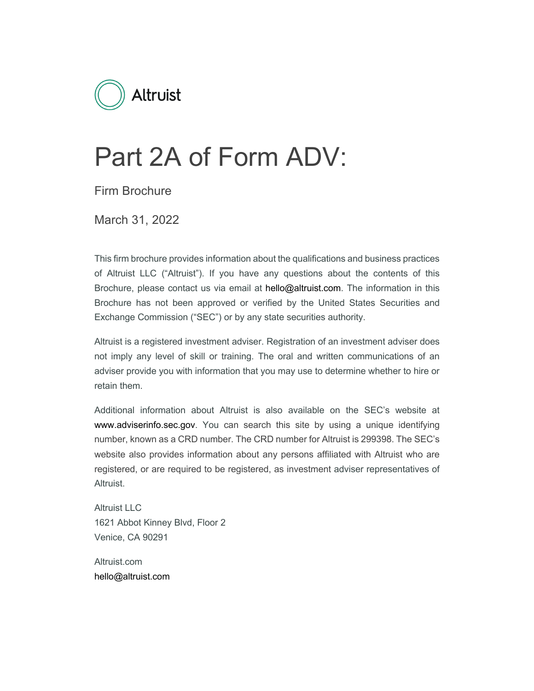

# Part 2A of Form ADV:

Firm Brochure

March 31, 2022

This firm brochure provides information about the qualifications and business practices of Altruist LLC ("Altruist"). If you have any questions about the contents of this Brochure, please contact us via email at hello@altruist.com. The information in this Brochure has not been approved or verified by the United States Securities and Exchange Commission ("SEC") or by any state securities authority.

Altruist is a registered investment adviser. Registration of an investment adviser does not imply any level of skill or training. The oral and written communications of an adviser provide you with information that you may use to determine whether to hire or retain them.

Additional information about Altruist is also available on the SEC's website at www.adviserinfo.sec.gov. You can search this site by using a unique identifying number, known as a CRD number. The CRD number for Altruist is 299398. The SEC's website also provides information about any persons affiliated with Altruist who are registered, or are required to be registered, as investment adviser representatives of Altruist.

Altruist LLC 1621 Abbot Kinney Blvd, Floor 2 Venice, CA 90291

Altruist.com hello@altruist.com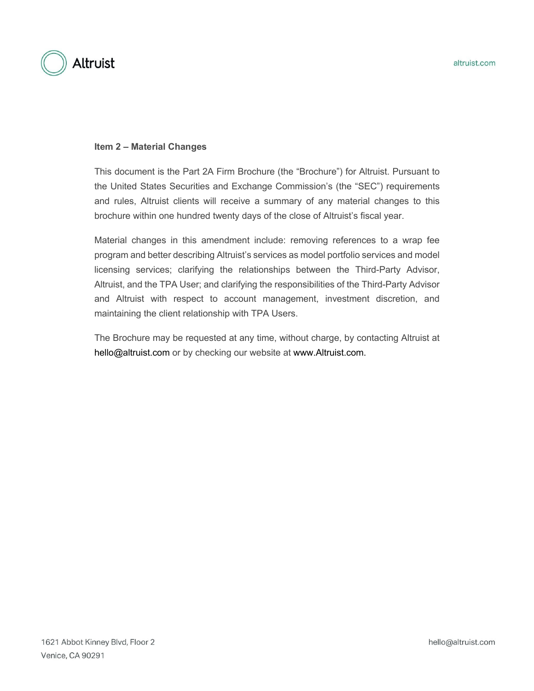

#### **Item 2 – Material Changes**

This document is the Part 2A Firm Brochure (the "Brochure") for Altruist. Pursuant to the United States Securities and Exchange Commission's (the "SEC") requirements and rules, Altruist clients will receive a summary of any material changes to this brochure within one hundred twenty days of the close of Altruist's fiscal year.

Material changes in this amendment include: removing references to a wrap fee program and better describing Altruist's services as model portfolio services and model licensing services; clarifying the relationships between the Third-Party Advisor, Altruist, and the TPA User; and clarifying the responsibilities of the Third-Party Advisor and Altruist with respect to account management, investment discretion, and maintaining the client relationship with TPA Users.

The Brochure may be requested at any time, without charge, by contacting Altruist at hello@altruist.com or by checking our website at www.Altruist.com.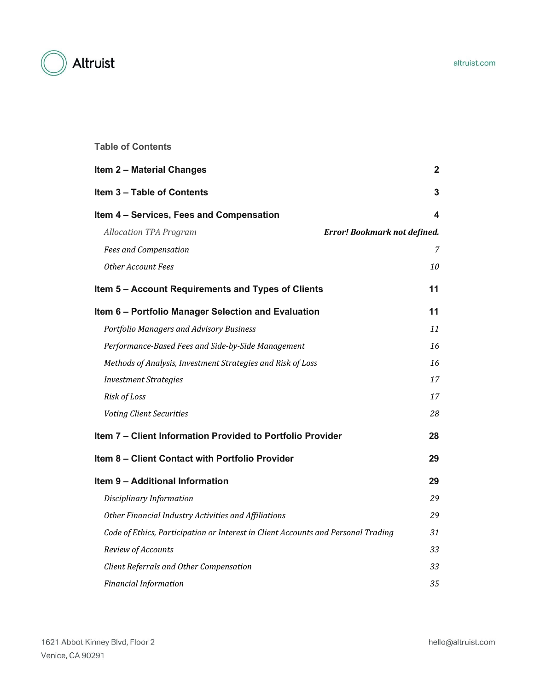

# **Table of Contents**

| <b>Item 2 - Material Changes</b>                                                  | 2              |
|-----------------------------------------------------------------------------------|----------------|
| Item 3 - Table of Contents                                                        | 3              |
| Item 4 - Services, Fees and Compensation                                          | 4              |
| <b>Allocation TPA Program</b><br>Error! Bookmark not defined.                     |                |
| <b>Fees and Compensation</b>                                                      | $\overline{7}$ |
| Other Account Fees                                                                | 10             |
| Item 5 - Account Requirements and Types of Clients                                | 11             |
| Item 6 - Portfolio Manager Selection and Evaluation                               | 11             |
| <b>Portfolio Managers and Advisory Business</b>                                   | 11             |
| Performance-Based Fees and Side-by-Side Management                                | 16             |
| Methods of Analysis, Investment Strategies and Risk of Loss                       | 16             |
| <b>Investment Strategies</b>                                                      | 17             |
| Risk of Loss                                                                      | 17             |
| <b>Voting Client Securities</b>                                                   | 28             |
| Item 7 - Client Information Provided to Portfolio Provider                        | 28             |
| Item 8 - Client Contact with Portfolio Provider                                   | 29             |
| <b>Item 9 - Additional Information</b>                                            | 29             |
| Disciplinary Information                                                          | 29             |
| Other Financial Industry Activities and Affiliations                              | 29             |
| Code of Ethics, Participation or Interest in Client Accounts and Personal Trading | 31             |
| Review of Accounts                                                                | 33             |
| Client Referrals and Other Compensation                                           | 33             |
| <b>Financial Information</b>                                                      | 35             |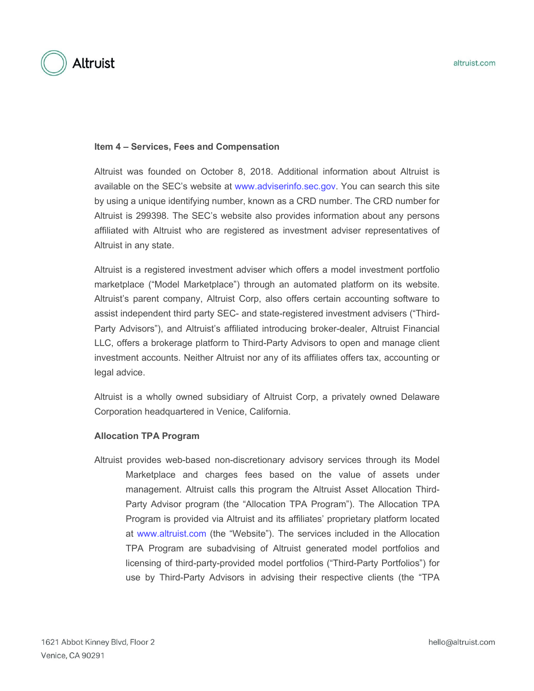

#### **Item 4 – Services, Fees and Compensation**

Altruist was founded on October 8, 2018. Additional information about Altruist is available on the SEC's website at www.adviserinfo.sec.gov. You can search this site by using a unique identifying number, known as a CRD number. The CRD number for Altruist is 299398. The SEC's website also provides information about any persons affiliated with Altruist who are registered as investment adviser representatives of Altruist in any state.

Altruist is a registered investment adviser which offers a model investment portfolio marketplace ("Model Marketplace") through an automated platform on its website. Altruist's parent company, Altruist Corp, also offers certain accounting software to assist independent third party SEC- and state-registered investment advisers ("Third-Party Advisors"), and Altruist's affiliated introducing broker-dealer, Altruist Financial LLC, offers a brokerage platform to Third-Party Advisors to open and manage client investment accounts. Neither Altruist nor any of its affiliates offers tax, accounting or legal advice.

Altruist is a wholly owned subsidiary of Altruist Corp, a privately owned Delaware Corporation headquartered in Venice, California.

#### **Allocation TPA Program**

Altruist provides web-based non-discretionary advisory services through its Model Marketplace and charges fees based on the value of assets under management. Altruist calls this program the Altruist Asset Allocation Third-Party Advisor program (the "Allocation TPA Program"). The Allocation TPA Program is provided via Altruist and its affiliates' proprietary platform located at www.altruist.com (the "Website"). The services included in the Allocation TPA Program are subadvising of Altruist generated model portfolios and licensing of third-party-provided model portfolios ("Third-Party Portfolios") for use by Third-Party Advisors in advising their respective clients (the "TPA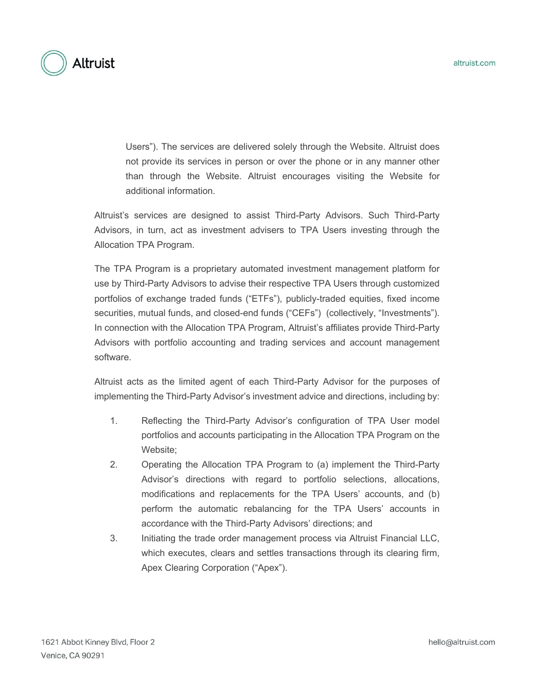

Users"). The services are delivered solely through the Website. Altruist does not provide its services in person or over the phone or in any manner other than through the Website. Altruist encourages visiting the Website for additional information.

Altruist's services are designed to assist Third-Party Advisors. Such Third-Party Advisors, in turn, act as investment advisers to TPA Users investing through the Allocation TPA Program.

The TPA Program is a proprietary automated investment management platform for use by Third-Party Advisors to advise their respective TPA Users through customized portfolios of exchange traded funds ("ETFs"), publicly-traded equities, fixed income securities, mutual funds, and closed-end funds ("CEFs") (collectively, "Investments"). In connection with the Allocation TPA Program, Altruist's affiliates provide Third-Party Advisors with portfolio accounting and trading services and account management software.

Altruist acts as the limited agent of each Third-Party Advisor for the purposes of implementing the Third-Party Advisor's investment advice and directions, including by:

- 1. Reflecting the Third-Party Advisor's configuration of TPA User model portfolios and accounts participating in the Allocation TPA Program on the Website;
- 2. Operating the Allocation TPA Program to (a) implement the Third-Party Advisor's directions with regard to portfolio selections, allocations, modifications and replacements for the TPA Users' accounts, and (b) perform the automatic rebalancing for the TPA Users' accounts in accordance with the Third-Party Advisors' directions; and
- 3. Initiating the trade order management process via Altruist Financial LLC, which executes, clears and settles transactions through its clearing firm, Apex Clearing Corporation ("Apex").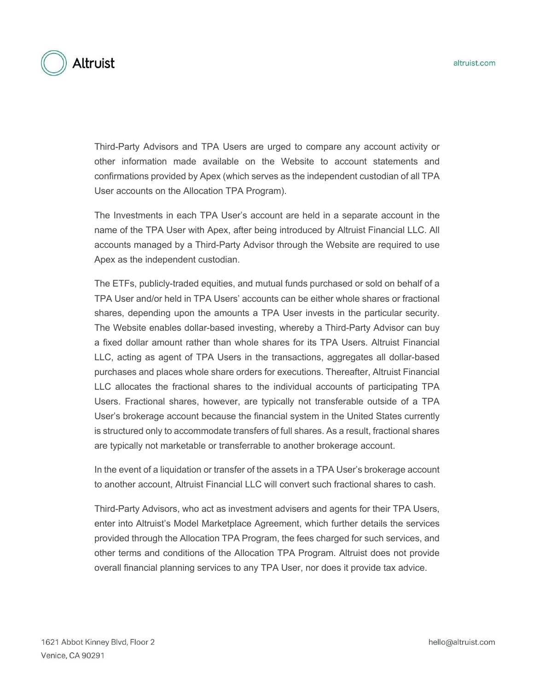

Third-Party Advisors and TPA Users are urged to compare any account activity or other information made available on the Website to account statements and confirmations provided by Apex (which serves as the independent custodian of all TPA User accounts on the Allocation TPA Program).

The Investments in each TPA User's account are held in a separate account in the name of the TPA User with Apex, after being introduced by Altruist Financial LLC. All accounts managed by a Third-Party Advisor through the Website are required to use Apex as the independent custodian.

The ETFs, publicly-traded equities, and mutual funds purchased or sold on behalf of a TPA User and/or held in TPA Users' accounts can be either whole shares or fractional shares, depending upon the amounts a TPA User invests in the particular security. The Website enables dollar-based investing, whereby a Third-Party Advisor can buy a fixed dollar amount rather than whole shares for its TPA Users. Altruist Financial LLC, acting as agent of TPA Users in the transactions, aggregates all dollar-based purchases and places whole share orders for executions. Thereafter, Altruist Financial LLC allocates the fractional shares to the individual accounts of participating TPA Users. Fractional shares, however, are typically not transferable outside of a TPA User's brokerage account because the financial system in the United States currently is structured only to accommodate transfers of full shares. As a result, fractional shares are typically not marketable or transferrable to another brokerage account.

In the event of a liquidation or transfer of the assets in a TPA User's brokerage account to another account, Altruist Financial LLC will convert such fractional shares to cash.

Third-Party Advisors, who act as investment advisers and agents for their TPA Users, enter into Altruist's Model Marketplace Agreement, which further details the services provided through the Allocation TPA Program, the fees charged for such services, and other terms and conditions of the Allocation TPA Program. Altruist does not provide overall financial planning services to any TPA User, nor does it provide tax advice.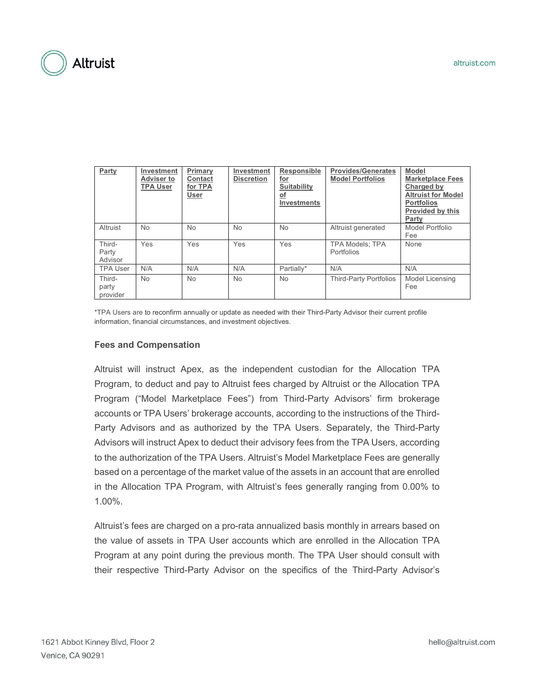| Party                       | Investment<br><b>Adviser to</b><br><b>TPA User</b> | Primary<br>Contact<br>for TPA<br>User | Investment<br><b>Discretion</b> | Responsible<br><u>for</u><br><b>Suitability</b><br>$\circ$ f<br><b>Investments</b> | <b>Provides/Generates</b><br><b>Model Portfolios</b> | <b>Model</b><br><b>Marketplace Fees</b><br>Charged by<br><b>Altruist for Model</b><br><b>Portfolios</b><br>Provided by this<br>Party |
|-----------------------------|----------------------------------------------------|---------------------------------------|---------------------------------|------------------------------------------------------------------------------------|------------------------------------------------------|--------------------------------------------------------------------------------------------------------------------------------------|
| Altruist                    | <b>No</b>                                          | <b>No</b>                             | <b>No</b>                       | <b>No</b>                                                                          | Altruist generated                                   | Model Portfolio<br>Fee                                                                                                               |
| Third-<br>Party<br>Advisor  | Yes                                                | Yes                                   | Yes                             | Yes                                                                                | <b>TPA Models: TPA</b><br>Portfolios                 | None                                                                                                                                 |
| <b>TPA User</b>             | N/A                                                | N/A                                   | N/A                             | Partially*                                                                         | N/A                                                  | N/A                                                                                                                                  |
| Third-<br>party<br>provider | <b>No</b>                                          | <b>No</b>                             | <b>No</b>                       | <b>No</b>                                                                          | Third-Party Portfolios                               | Model Licensing<br>Fee                                                                                                               |

\*TPA Users are to reconfirm annually or update as needed with their Third-Party Advisor their current profile information, financial circumstances, and investment objectives.

#### **Fees and Compensation**

Altruist will instruct Apex, as the independent custodian for the Allocation TPA Program, to deduct and pay to Altruist fees charged by Altruist or the Allocation TPA Program ("Model Marketplace Fees") from Third-Party Advisors' firm brokerage accounts or TPA Users' brokerage accounts, according to the instructions of the Third-Party Advisors and as authorized by the TPA Users. Separately, the Third-Party Advisors will instruct Apex to deduct their advisory fees from the TPA Users, according to the authorization of the TPA Users. Altruist's Model Marketplace Fees are generally based on a percentage of the market value of the assets in an account that are enrolled in the Allocation TPA Program, with Altruist's fees generally ranging from 0.00% to 1.00%.

Altruist's fees are charged on a pro-rata annualized basis monthly in arrears based on the value of assets in TPA User accounts which are enrolled in the Allocation TPA Program at any point during the previous month. The TPA User should consult with their respective Third-Party Advisor on the specifics of the Third-Party Advisor's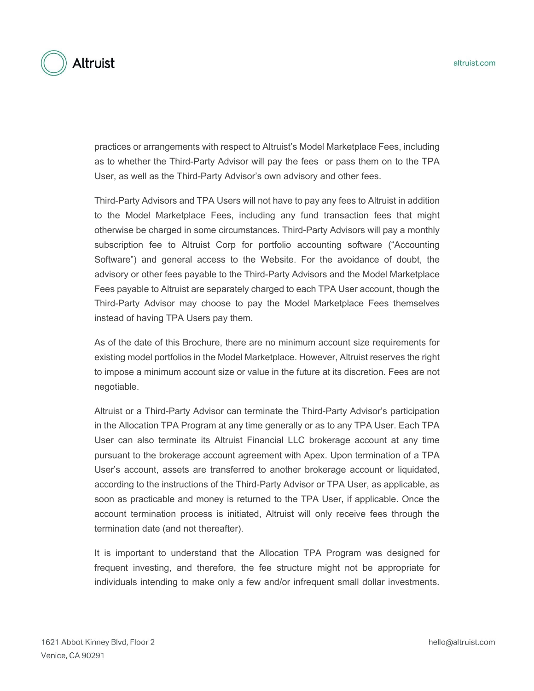

practices or arrangements with respect to Altruist's Model Marketplace Fees, including as to whether the Third-Party Advisor will pay the fees or pass them on to the TPA User, as well as the Third-Party Advisor's own advisory and other fees.

Third-Party Advisors and TPA Users will not have to pay any fees to Altruist in addition to the Model Marketplace Fees, including any fund transaction fees that might otherwise be charged in some circumstances. Third-Party Advisors will pay a monthly subscription fee to Altruist Corp for portfolio accounting software ("Accounting Software") and general access to the Website. For the avoidance of doubt, the advisory or other fees payable to the Third-Party Advisors and the Model Marketplace Fees payable to Altruist are separately charged to each TPA User account, though the Third-Party Advisor may choose to pay the Model Marketplace Fees themselves instead of having TPA Users pay them.

As of the date of this Brochure, there are no minimum account size requirements for existing model portfolios in the Model Marketplace. However, Altruist reserves the right to impose a minimum account size or value in the future at its discretion. Fees are not negotiable.

Altruist or a Third-Party Advisor can terminate the Third-Party Advisor's participation in the Allocation TPA Program at any time generally or as to any TPA User. Each TPA User can also terminate its Altruist Financial LLC brokerage account at any time pursuant to the brokerage account agreement with Apex. Upon termination of a TPA User's account, assets are transferred to another brokerage account or liquidated, according to the instructions of the Third-Party Advisor or TPA User, as applicable, as soon as practicable and money is returned to the TPA User, if applicable. Once the account termination process is initiated, Altruist will only receive fees through the termination date (and not thereafter).

It is important to understand that the Allocation TPA Program was designed for frequent investing, and therefore, the fee structure might not be appropriate for individuals intending to make only a few and/or infrequent small dollar investments.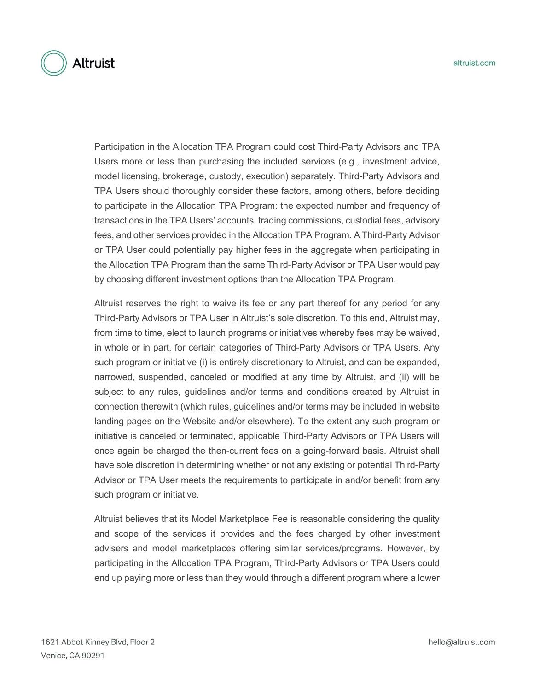Participation in the Allocation TPA Program could cost Third-Party Advisors and TPA Users more or less than purchasing the included services (e.g., investment advice, model licensing, brokerage, custody, execution) separately. Third-Party Advisors and TPA Users should thoroughly consider these factors, among others, before deciding to participate in the Allocation TPA Program: the expected number and frequency of transactions in the TPA Users' accounts, trading commissions, custodial fees, advisory fees, and other services provided in the Allocation TPA Program. A Third-Party Advisor or TPA User could potentially pay higher fees in the aggregate when participating in the Allocation TPA Program than the same Third-Party Advisor or TPA User would pay by choosing different investment options than the Allocation TPA Program.

Altruist reserves the right to waive its fee or any part thereof for any period for any Third-Party Advisors or TPA User in Altruist's sole discretion. To this end, Altruist may, from time to time, elect to launch programs or initiatives whereby fees may be waived, in whole or in part, for certain categories of Third-Party Advisors or TPA Users. Any such program or initiative (i) is entirely discretionary to Altruist, and can be expanded, narrowed, suspended, canceled or modified at any time by Altruist, and (ii) will be subject to any rules, guidelines and/or terms and conditions created by Altruist in connection therewith (which rules, guidelines and/or terms may be included in website landing pages on the Website and/or elsewhere). To the extent any such program or initiative is canceled or terminated, applicable Third-Party Advisors or TPA Users will once again be charged the then-current fees on a going-forward basis. Altruist shall have sole discretion in determining whether or not any existing or potential Third-Party Advisor or TPA User meets the requirements to participate in and/or benefit from any such program or initiative.

Altruist believes that its Model Marketplace Fee is reasonable considering the quality and scope of the services it provides and the fees charged by other investment advisers and model marketplaces offering similar services/programs. However, by participating in the Allocation TPA Program, Third-Party Advisors or TPA Users could end up paying more or less than they would through a different program where a lower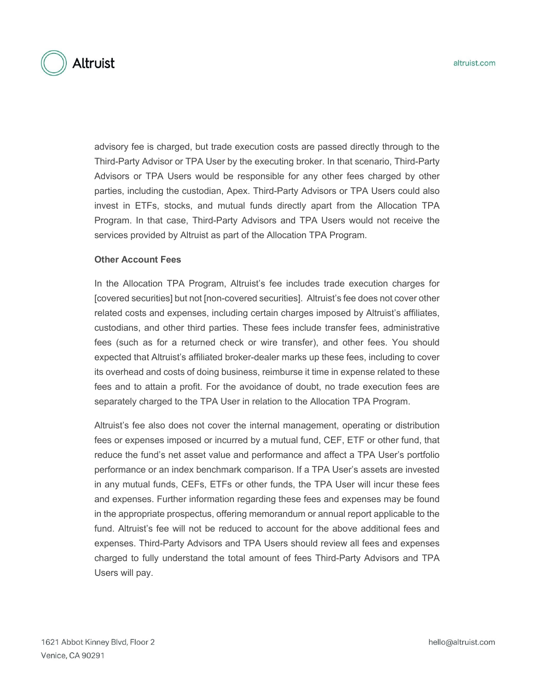advisory fee is charged, but trade execution costs are passed directly through to the Third-Party Advisor or TPA User by the executing broker. In that scenario, Third-Party Advisors or TPA Users would be responsible for any other fees charged by other parties, including the custodian, Apex. Third-Party Advisors or TPA Users could also invest in ETFs, stocks, and mutual funds directly apart from the Allocation TPA Program. In that case, Third-Party Advisors and TPA Users would not receive the services provided by Altruist as part of the Allocation TPA Program.

#### **Other Account Fees**

In the Allocation TPA Program, Altruist's fee includes trade execution charges for [covered securities] but not [non-covered securities]. Altruist's fee does not cover other related costs and expenses, including certain charges imposed by Altruist's affiliates, custodians, and other third parties. These fees include transfer fees, administrative fees (such as for a returned check or wire transfer), and other fees. You should expected that Altruist's affiliated broker-dealer marks up these fees, including to cover its overhead and costs of doing business, reimburse it time in expense related to these fees and to attain a profit. For the avoidance of doubt, no trade execution fees are separately charged to the TPA User in relation to the Allocation TPA Program.

Altruist's fee also does not cover the internal management, operating or distribution fees or expenses imposed or incurred by a mutual fund, CEF, ETF or other fund, that reduce the fund's net asset value and performance and affect a TPA User's portfolio performance or an index benchmark comparison. If a TPA User's assets are invested in any mutual funds, CEFs, ETFs or other funds, the TPA User will incur these fees and expenses. Further information regarding these fees and expenses may be found in the appropriate prospectus, offering memorandum or annual report applicable to the fund. Altruist's fee will not be reduced to account for the above additional fees and expenses. Third-Party Advisors and TPA Users should review all fees and expenses charged to fully understand the total amount of fees Third-Party Advisors and TPA Users will pay.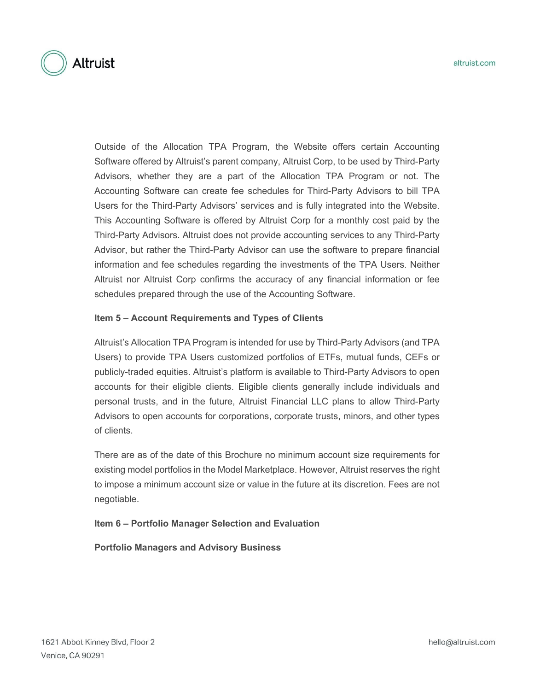Outside of the Allocation TPA Program, the Website offers certain Accounting Software offered by Altruist's parent company, Altruist Corp, to be used by Third-Party Advisors, whether they are a part of the Allocation TPA Program or not. The Accounting Software can create fee schedules for Third-Party Advisors to bill TPA Users for the Third-Party Advisors' services and is fully integrated into the Website. This Accounting Software is offered by Altruist Corp for a monthly cost paid by the Third-Party Advisors. Altruist does not provide accounting services to any Third-Party Advisor, but rather the Third-Party Advisor can use the software to prepare financial information and fee schedules regarding the investments of the TPA Users. Neither Altruist nor Altruist Corp confirms the accuracy of any financial information or fee schedules prepared through the use of the Accounting Software.

#### **Item 5 – Account Requirements and Types of Clients**

Altruist's Allocation TPA Program is intended for use by Third-Party Advisors (and TPA Users) to provide TPA Users customized portfolios of ETFs, mutual funds, CEFs or publicly-traded equities. Altruist's platform is available to Third-Party Advisors to open accounts for their eligible clients. Eligible clients generally include individuals and personal trusts, and in the future, Altruist Financial LLC plans to allow Third-Party Advisors to open accounts for corporations, corporate trusts, minors, and other types of clients.

There are as of the date of this Brochure no minimum account size requirements for existing model portfolios in the Model Marketplace. However, Altruist reserves the right to impose a minimum account size or value in the future at its discretion. Fees are not negotiable.

**Item 6 – Portfolio Manager Selection and Evaluation**

**Portfolio Managers and Advisory Business**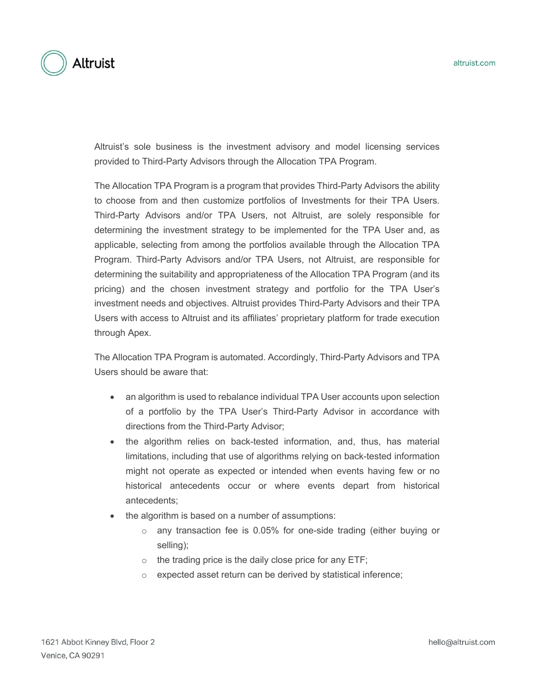

Altruist's sole business is the investment advisory and model licensing services provided to Third-Party Advisors through the Allocation TPA Program.

The Allocation TPA Program is a program that provides Third-Party Advisors the ability to choose from and then customize portfolios of Investments for their TPA Users. Third-Party Advisors and/or TPA Users, not Altruist, are solely responsible for determining the investment strategy to be implemented for the TPA User and, as applicable, selecting from among the portfolios available through the Allocation TPA Program. Third-Party Advisors and/or TPA Users, not Altruist, are responsible for determining the suitability and appropriateness of the Allocation TPA Program (and its pricing) and the chosen investment strategy and portfolio for the TPA User's investment needs and objectives. Altruist provides Third-Party Advisors and their TPA Users with access to Altruist and its affiliates' proprietary platform for trade execution through Apex.

The Allocation TPA Program is automated. Accordingly, Third-Party Advisors and TPA Users should be aware that:

- an algorithm is used to rebalance individual TPA User accounts upon selection of a portfolio by the TPA User's Third-Party Advisor in accordance with directions from the Third-Party Advisor;
- the algorithm relies on back-tested information, and, thus, has material limitations, including that use of algorithms relying on back-tested information might not operate as expected or intended when events having few or no historical antecedents occur or where events depart from historical antecedents;
- the algorithm is based on a number of assumptions:
	- o any transaction fee is 0.05% for one-side trading (either buying or selling);
	- $\circ$  the trading price is the daily close price for any ETF;
	- o expected asset return can be derived by statistical inference;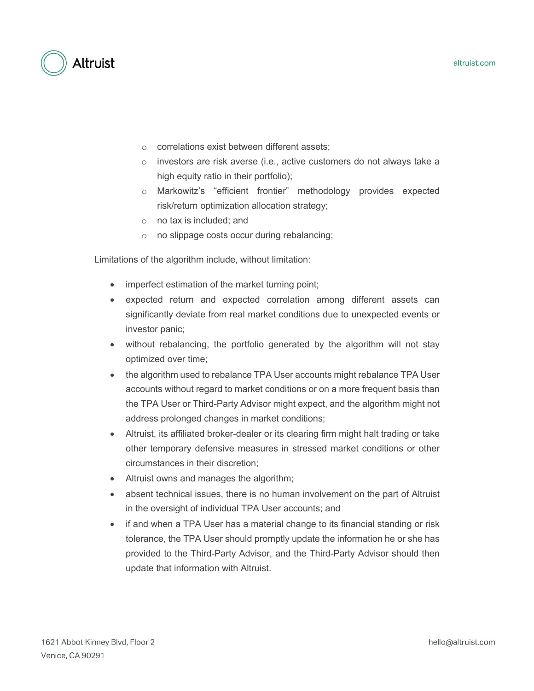

- o correlations exist between different assets;
- o investors are risk averse (i.e., active customers do not always take a high equity ratio in their portfolio);
- o Markowitz's "efficient frontier" methodology provides expected risk/return optimization allocation strategy;
- o no tax is included; and
- o no slippage costs occur during rebalancing;

Limitations of the algorithm include, without limitation:

- imperfect estimation of the market turning point;
- expected return and expected correlation among different assets can significantly deviate from real market conditions due to unexpected events or investor panic;
- without rebalancing, the portfolio generated by the algorithm will not stay optimized over time;
- the algorithm used to rebalance TPA User accounts might rebalance TPA User accounts without regard to market conditions or on a more frequent basis than the TPA User or Third-Party Advisor might expect, and the algorithm might not address prolonged changes in market conditions;
- Altruist, its affiliated broker-dealer or its clearing firm might halt trading or take other temporary defensive measures in stressed market conditions or other circumstances in their discretion;
- Altruist owns and manages the algorithm;
- absent technical issues, there is no human involvement on the part of Altruist in the oversight of individual TPA User accounts; and
- if and when a TPA User has a material change to its financial standing or risk tolerance, the TPA User should promptly update the information he or she has provided to the Third-Party Advisor, and the Third-Party Advisor should then update that information with Altruist.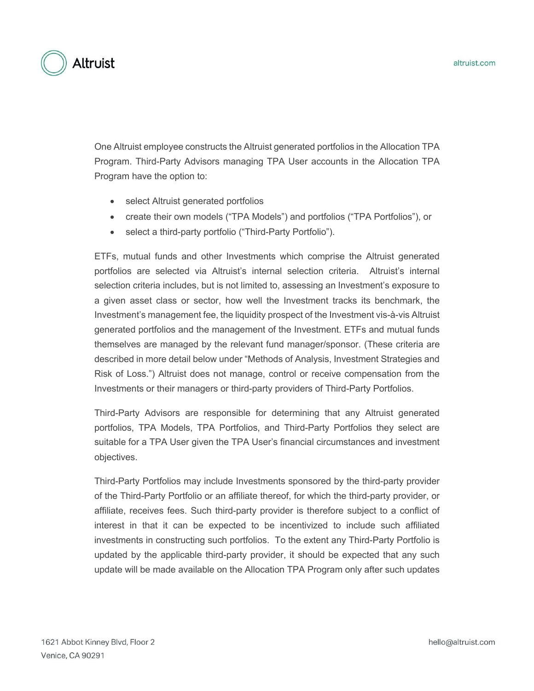

One Altruist employee constructs the Altruist generated portfolios in the Allocation TPA Program. Third-Party Advisors managing TPA User accounts in the Allocation TPA Program have the option to:

- select Altruist generated portfolios
- create their own models ("TPA Models") and portfolios ("TPA Portfolios"), or
- select a third-party portfolio ("Third-Party Portfolio").

ETFs, mutual funds and other Investments which comprise the Altruist generated portfolios are selected via Altruist's internal selection criteria. Altruist's internal selection criteria includes, but is not limited to, assessing an Investment's exposure to a given asset class or sector, how well the Investment tracks its benchmark, the Investment's management fee, the liquidity prospect of the Investment vis-à-vis Altruist generated portfolios and the management of the Investment. ETFs and mutual funds themselves are managed by the relevant fund manager/sponsor. (These criteria are described in more detail below under "Methods of Analysis, Investment Strategies and Risk of Loss.") Altruist does not manage, control or receive compensation from the Investments or their managers or third-party providers of Third-Party Portfolios.

Third-Party Advisors are responsible for determining that any Altruist generated portfolios, TPA Models, TPA Portfolios, and Third-Party Portfolios they select are suitable for a TPA User given the TPA User's financial circumstances and investment objectives.

Third-Party Portfolios may include Investments sponsored by the third-party provider of the Third-Party Portfolio or an affiliate thereof, for which the third-party provider, or affiliate, receives fees. Such third-party provider is therefore subject to a conflict of interest in that it can be expected to be incentivized to include such affiliated investments in constructing such portfolios. To the extent any Third-Party Portfolio is updated by the applicable third-party provider, it should be expected that any such update will be made available on the Allocation TPA Program only after such updates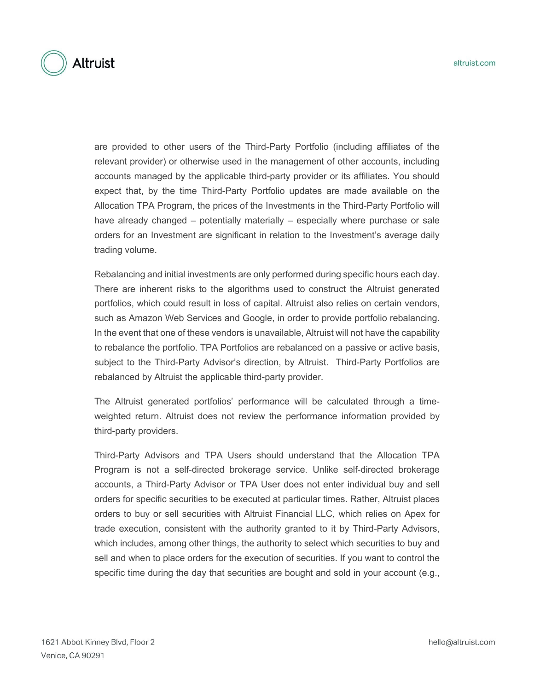

are provided to other users of the Third-Party Portfolio (including affiliates of the relevant provider) or otherwise used in the management of other accounts, including accounts managed by the applicable third-party provider or its affiliates. You should expect that, by the time Third-Party Portfolio updates are made available on the Allocation TPA Program, the prices of the Investments in the Third-Party Portfolio will have already changed – potentially materially – especially where purchase or sale orders for an Investment are significant in relation to the Investment's average daily trading volume.

Rebalancing and initial investments are only performed during specific hours each day. There are inherent risks to the algorithms used to construct the Altruist generated portfolios, which could result in loss of capital. Altruist also relies on certain vendors, such as Amazon Web Services and Google, in order to provide portfolio rebalancing. In the event that one of these vendors is unavailable, Altruist will not have the capability to rebalance the portfolio. TPA Portfolios are rebalanced on a passive or active basis, subject to the Third-Party Advisor's direction, by Altruist. Third-Party Portfolios are rebalanced by Altruist the applicable third-party provider.

The Altruist generated portfolios' performance will be calculated through a timeweighted return. Altruist does not review the performance information provided by third-party providers.

Third-Party Advisors and TPA Users should understand that the Allocation TPA Program is not a self-directed brokerage service. Unlike self-directed brokerage accounts, a Third-Party Advisor or TPA User does not enter individual buy and sell orders for specific securities to be executed at particular times. Rather, Altruist places orders to buy or sell securities with Altruist Financial LLC, which relies on Apex for trade execution, consistent with the authority granted to it by Third-Party Advisors, which includes, among other things, the authority to select which securities to buy and sell and when to place orders for the execution of securities. If you want to control the specific time during the day that securities are bought and sold in your account (e.g.,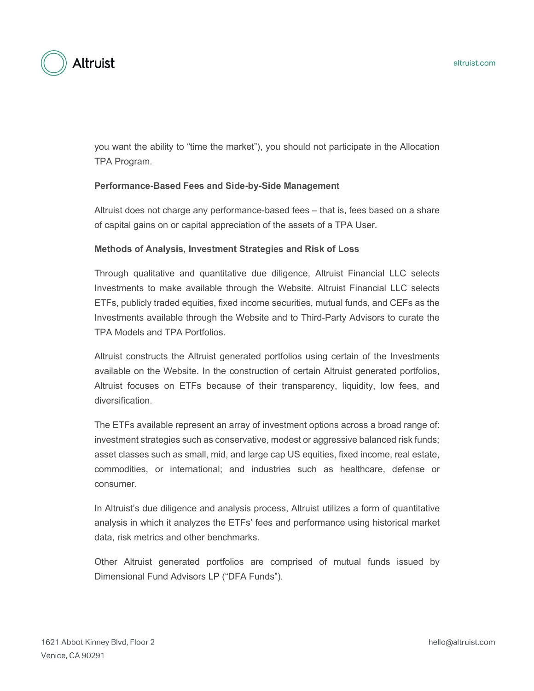

you want the ability to "time the market"), you should not participate in the Allocation TPA Program.

#### **Performance-Based Fees and Side-by-Side Management**

Altruist does not charge any performance-based fees – that is, fees based on a share of capital gains on or capital appreciation of the assets of a TPA User.

#### **Methods of Analysis, Investment Strategies and Risk of Loss**

Through qualitative and quantitative due diligence, Altruist Financial LLC selects Investments to make available through the Website. Altruist Financial LLC selects ETFs, publicly traded equities, fixed income securities, mutual funds, and CEFs as the Investments available through the Website and to Third-Party Advisors to curate the TPA Models and TPA Portfolios.

Altruist constructs the Altruist generated portfolios using certain of the Investments available on the Website. In the construction of certain Altruist generated portfolios, Altruist focuses on ETFs because of their transparency, liquidity, low fees, and diversification.

The ETFs available represent an array of investment options across a broad range of: investment strategies such as conservative, modest or aggressive balanced risk funds; asset classes such as small, mid, and large cap US equities, fixed income, real estate, commodities, or international; and industries such as healthcare, defense or consumer.

In Altruist's due diligence and analysis process, Altruist utilizes a form of quantitative analysis in which it analyzes the ETFs' fees and performance using historical market data, risk metrics and other benchmarks.

Other Altruist generated portfolios are comprised of mutual funds issued by Dimensional Fund Advisors LP ("DFA Funds").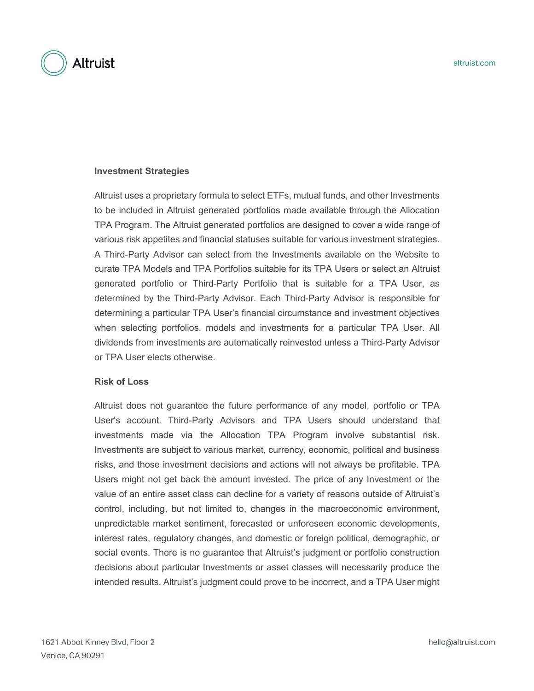

#### **Investment Strategies**

Altruist uses a proprietary formula to select ETFs, mutual funds, and other Investments to be included in Altruist generated portfolios made available through the Allocation TPA Program. The Altruist generated portfolios are designed to cover a wide range of various risk appetites and financial statuses suitable for various investment strategies. A Third-Party Advisor can select from the Investments available on the Website to curate TPA Models and TPA Portfolios suitable for its TPA Users or select an Altruist generated portfolio or Third-Party Portfolio that is suitable for a TPA User, as determined by the Third-Party Advisor. Each Third-Party Advisor is responsible for determining a particular TPA User's financial circumstance and investment objectives when selecting portfolios, models and investments for a particular TPA User. All dividends from investments are automatically reinvested unless a Third-Party Advisor or TPA User elects otherwise.

#### **Risk of Loss**

Altruist does not guarantee the future performance of any model, portfolio or TPA User's account. Third-Party Advisors and TPA Users should understand that investments made via the Allocation TPA Program involve substantial risk. Investments are subject to various market, currency, economic, political and business risks, and those investment decisions and actions will not always be profitable. TPA Users might not get back the amount invested. The price of any Investment or the value of an entire asset class can decline for a variety of reasons outside of Altruist's control, including, but not limited to, changes in the macroeconomic environment, unpredictable market sentiment, forecasted or unforeseen economic developments, interest rates, regulatory changes, and domestic or foreign political, demographic, or social events. There is no guarantee that Altruist's judgment or portfolio construction decisions about particular Investments or asset classes will necessarily produce the intended results. Altruist's judgment could prove to be incorrect, and a TPA User might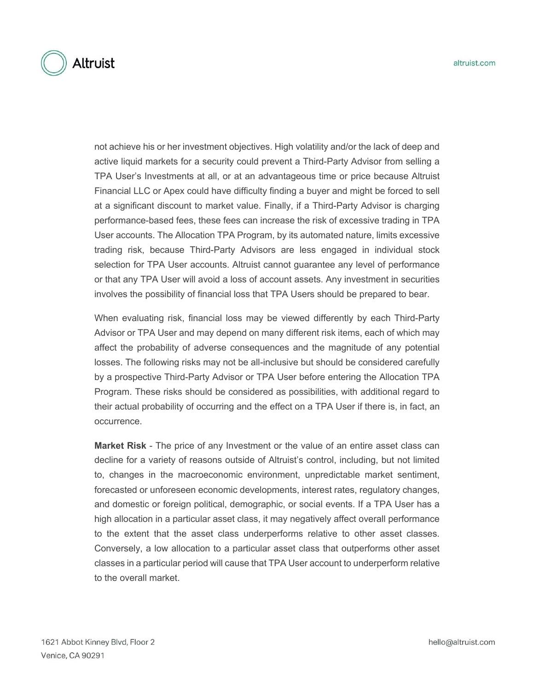

not achieve his or her investment objectives. High volatility and/or the lack of deep and active liquid markets for a security could prevent a Third-Party Advisor from selling a TPA User's Investments at all, or at an advantageous time or price because Altruist Financial LLC or Apex could have difficulty finding a buyer and might be forced to sell at a significant discount to market value. Finally, if a Third-Party Advisor is charging performance-based fees, these fees can increase the risk of excessive trading in TPA User accounts. The Allocation TPA Program, by its automated nature, limits excessive trading risk, because Third-Party Advisors are less engaged in individual stock selection for TPA User accounts. Altruist cannot guarantee any level of performance or that any TPA User will avoid a loss of account assets. Any investment in securities involves the possibility of financial loss that TPA Users should be prepared to bear.

When evaluating risk, financial loss may be viewed differently by each Third-Party Advisor or TPA User and may depend on many different risk items, each of which may affect the probability of adverse consequences and the magnitude of any potential losses. The following risks may not be all-inclusive but should be considered carefully by a prospective Third-Party Advisor or TPA User before entering the Allocation TPA Program. These risks should be considered as possibilities, with additional regard to their actual probability of occurring and the effect on a TPA User if there is, in fact, an occurrence.

**Market Risk** - The price of any Investment or the value of an entire asset class can decline for a variety of reasons outside of Altruist's control, including, but not limited to, changes in the macroeconomic environment, unpredictable market sentiment, forecasted or unforeseen economic developments, interest rates, regulatory changes, and domestic or foreign political, demographic, or social events. If a TPA User has a high allocation in a particular asset class, it may negatively affect overall performance to the extent that the asset class underperforms relative to other asset classes. Conversely, a low allocation to a particular asset class that outperforms other asset classes in a particular period will cause that TPA User account to underperform relative to the overall market.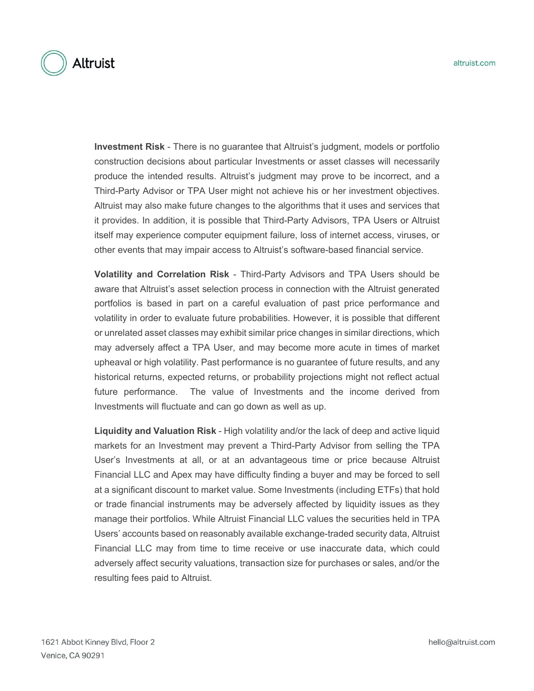

**Investment Risk** - There is no guarantee that Altruist's judgment, models or portfolio construction decisions about particular Investments or asset classes will necessarily produce the intended results. Altruist's judgment may prove to be incorrect, and a Third-Party Advisor or TPA User might not achieve his or her investment objectives. Altruist may also make future changes to the algorithms that it uses and services that it provides. In addition, it is possible that Third-Party Advisors, TPA Users or Altruist itself may experience computer equipment failure, loss of internet access, viruses, or other events that may impair access to Altruist's software-based financial service.

**Volatility and Correlation Risk** - Third-Party Advisors and TPA Users should be aware that Altruist's asset selection process in connection with the Altruist generated portfolios is based in part on a careful evaluation of past price performance and volatility in order to evaluate future probabilities. However, it is possible that different or unrelated asset classes may exhibit similar price changes in similar directions, which may adversely affect a TPA User, and may become more acute in times of market upheaval or high volatility. Past performance is no guarantee of future results, and any historical returns, expected returns, or probability projections might not reflect actual future performance. The value of Investments and the income derived from Investments will fluctuate and can go down as well as up.

**Liquidity and Valuation Risk** - High volatility and/or the lack of deep and active liquid markets for an Investment may prevent a Third-Party Advisor from selling the TPA User's Investments at all, or at an advantageous time or price because Altruist Financial LLC and Apex may have difficulty finding a buyer and may be forced to sell at a significant discount to market value. Some Investments (including ETFs) that hold or trade financial instruments may be adversely affected by liquidity issues as they manage their portfolios. While Altruist Financial LLC values the securities held in TPA Users' accounts based on reasonably available exchange-traded security data, Altruist Financial LLC may from time to time receive or use inaccurate data, which could adversely affect security valuations, transaction size for purchases or sales, and/or the resulting fees paid to Altruist.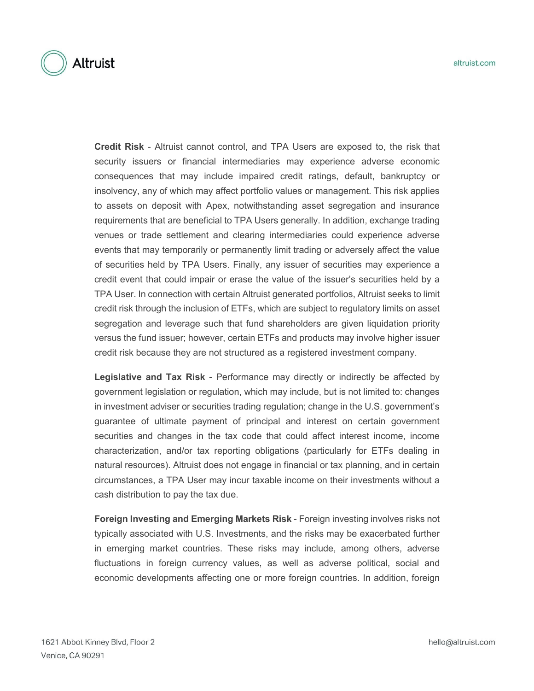

**Credit Risk** - Altruist cannot control, and TPA Users are exposed to, the risk that security issuers or financial intermediaries may experience adverse economic consequences that may include impaired credit ratings, default, bankruptcy or insolvency, any of which may affect portfolio values or management. This risk applies to assets on deposit with Apex, notwithstanding asset segregation and insurance requirements that are beneficial to TPA Users generally. In addition, exchange trading venues or trade settlement and clearing intermediaries could experience adverse events that may temporarily or permanently limit trading or adversely affect the value of securities held by TPA Users. Finally, any issuer of securities may experience a credit event that could impair or erase the value of the issuer's securities held by a TPA User. In connection with certain Altruist generated portfolios, Altruist seeks to limit credit risk through the inclusion of ETFs, which are subject to regulatory limits on asset segregation and leverage such that fund shareholders are given liquidation priority versus the fund issuer; however, certain ETFs and products may involve higher issuer credit risk because they are not structured as a registered investment company.

**Legislative and Tax Risk** - Performance may directly or indirectly be affected by government legislation or regulation, which may include, but is not limited to: changes in investment adviser or securities trading regulation; change in the U.S. government's guarantee of ultimate payment of principal and interest on certain government securities and changes in the tax code that could affect interest income, income characterization, and/or tax reporting obligations (particularly for ETFs dealing in natural resources). Altruist does not engage in financial or tax planning, and in certain circumstances, a TPA User may incur taxable income on their investments without a cash distribution to pay the tax due.

**Foreign Investing and Emerging Markets Risk** - Foreign investing involves risks not typically associated with U.S. Investments, and the risks may be exacerbated further in emerging market countries. These risks may include, among others, adverse fluctuations in foreign currency values, as well as adverse political, social and economic developments affecting one or more foreign countries. In addition, foreign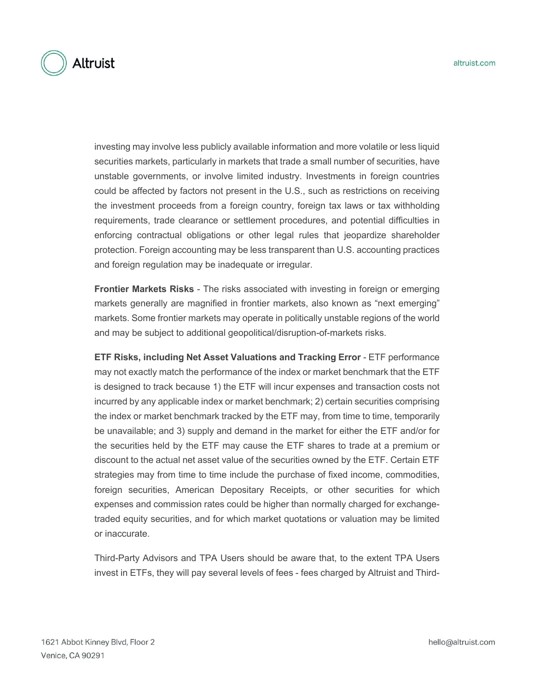investing may involve less publicly available information and more volatile or less liquid securities markets, particularly in markets that trade a small number of securities, have unstable governments, or involve limited industry. Investments in foreign countries could be affected by factors not present in the U.S., such as restrictions on receiving the investment proceeds from a foreign country, foreign tax laws or tax withholding requirements, trade clearance or settlement procedures, and potential difficulties in enforcing contractual obligations or other legal rules that jeopardize shareholder protection. Foreign accounting may be less transparent than U.S. accounting practices and foreign regulation may be inadequate or irregular.

**Frontier Markets Risks** - The risks associated with investing in foreign or emerging markets generally are magnified in frontier markets, also known as "next emerging" markets. Some frontier markets may operate in politically unstable regions of the world and may be subject to additional geopolitical/disruption-of-markets risks.

**ETF Risks, including Net Asset Valuations and Tracking Error** - ETF performance may not exactly match the performance of the index or market benchmark that the ETF is designed to track because 1) the ETF will incur expenses and transaction costs not incurred by any applicable index or market benchmark; 2) certain securities comprising the index or market benchmark tracked by the ETF may, from time to time, temporarily be unavailable; and 3) supply and demand in the market for either the ETF and/or for the securities held by the ETF may cause the ETF shares to trade at a premium or discount to the actual net asset value of the securities owned by the ETF. Certain ETF strategies may from time to time include the purchase of fixed income, commodities, foreign securities, American Depositary Receipts, or other securities for which expenses and commission rates could be higher than normally charged for exchangetraded equity securities, and for which market quotations or valuation may be limited or inaccurate.

Third-Party Advisors and TPA Users should be aware that, to the extent TPA Users invest in ETFs, they will pay several levels of fees - fees charged by Altruist and Third-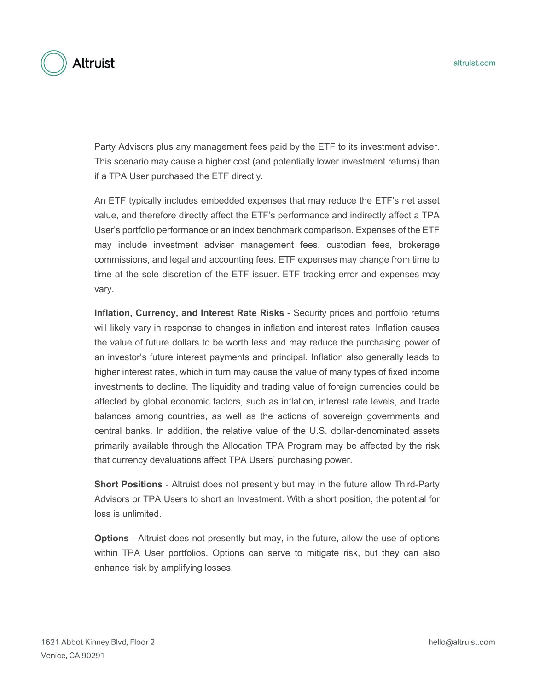

Party Advisors plus any management fees paid by the ETF to its investment adviser. This scenario may cause a higher cost (and potentially lower investment returns) than if a TPA User purchased the ETF directly.

An ETF typically includes embedded expenses that may reduce the ETF's net asset value, and therefore directly affect the ETF's performance and indirectly affect a TPA User's portfolio performance or an index benchmark comparison. Expenses of the ETF may include investment adviser management fees, custodian fees, brokerage commissions, and legal and accounting fees. ETF expenses may change from time to time at the sole discretion of the ETF issuer. ETF tracking error and expenses may vary.

**Inflation, Currency, and Interest Rate Risks** - Security prices and portfolio returns will likely vary in response to changes in inflation and interest rates. Inflation causes the value of future dollars to be worth less and may reduce the purchasing power of an investor's future interest payments and principal. Inflation also generally leads to higher interest rates, which in turn may cause the value of many types of fixed income investments to decline. The liquidity and trading value of foreign currencies could be affected by global economic factors, such as inflation, interest rate levels, and trade balances among countries, as well as the actions of sovereign governments and central banks. In addition, the relative value of the U.S. dollar-denominated assets primarily available through the Allocation TPA Program may be affected by the risk that currency devaluations affect TPA Users' purchasing power.

**Short Positions** - Altruist does not presently but may in the future allow Third-Party Advisors or TPA Users to short an Investment. With a short position, the potential for loss is unlimited.

**Options** - Altruist does not presently but may, in the future, allow the use of options within TPA User portfolios. Options can serve to mitigate risk, but they can also enhance risk by amplifying losses.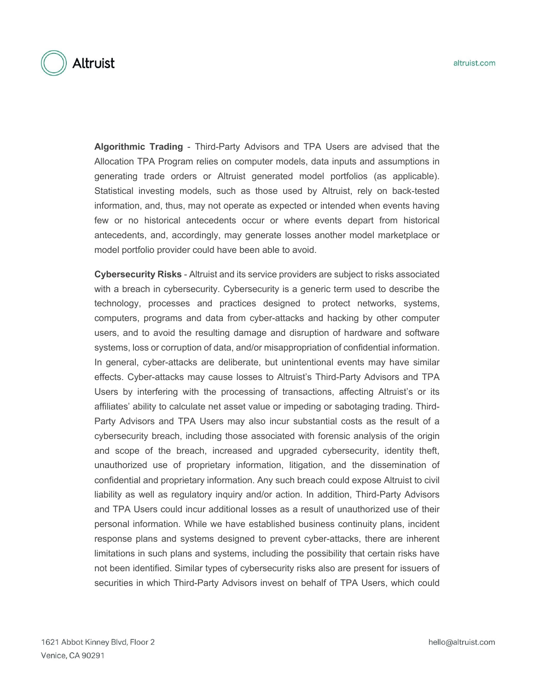

**Algorithmic Trading** - Third-Party Advisors and TPA Users are advised that the Allocation TPA Program relies on computer models, data inputs and assumptions in generating trade orders or Altruist generated model portfolios (as applicable). Statistical investing models, such as those used by Altruist, rely on back-tested information, and, thus, may not operate as expected or intended when events having few or no historical antecedents occur or where events depart from historical antecedents, and, accordingly, may generate losses another model marketplace or model portfolio provider could have been able to avoid.

**Cybersecurity Risks** - Altruist and its service providers are subject to risks associated with a breach in cybersecurity. Cybersecurity is a generic term used to describe the technology, processes and practices designed to protect networks, systems, computers, programs and data from cyber-attacks and hacking by other computer users, and to avoid the resulting damage and disruption of hardware and software systems, loss or corruption of data, and/or misappropriation of confidential information. In general, cyber-attacks are deliberate, but unintentional events may have similar effects. Cyber-attacks may cause losses to Altruist's Third-Party Advisors and TPA Users by interfering with the processing of transactions, affecting Altruist's or its affiliates' ability to calculate net asset value or impeding or sabotaging trading. Third-Party Advisors and TPA Users may also incur substantial costs as the result of a cybersecurity breach, including those associated with forensic analysis of the origin and scope of the breach, increased and upgraded cybersecurity, identity theft, unauthorized use of proprietary information, litigation, and the dissemination of confidential and proprietary information. Any such breach could expose Altruist to civil liability as well as regulatory inquiry and/or action. In addition, Third-Party Advisors and TPA Users could incur additional losses as a result of unauthorized use of their personal information. While we have established business continuity plans, incident response plans and systems designed to prevent cyber-attacks, there are inherent limitations in such plans and systems, including the possibility that certain risks have not been identified. Similar types of cybersecurity risks also are present for issuers of securities in which Third-Party Advisors invest on behalf of TPA Users, which could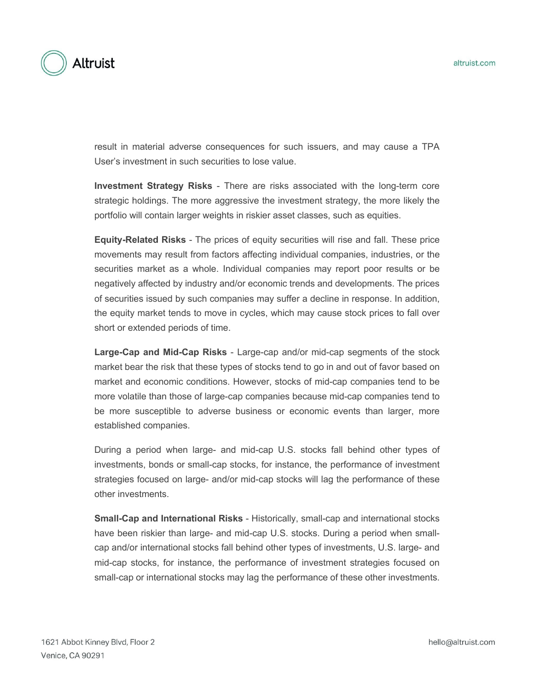

result in material adverse consequences for such issuers, and may cause a TPA User's investment in such securities to lose value.

**Investment Strategy Risks** - There are risks associated with the long-term core strategic holdings. The more aggressive the investment strategy, the more likely the portfolio will contain larger weights in riskier asset classes, such as equities.

**Equity-Related Risks** - The prices of equity securities will rise and fall. These price movements may result from factors affecting individual companies, industries, or the securities market as a whole. Individual companies may report poor results or be negatively affected by industry and/or economic trends and developments. The prices of securities issued by such companies may suffer a decline in response. In addition, the equity market tends to move in cycles, which may cause stock prices to fall over short or extended periods of time.

**Large-Cap and Mid-Cap Risks** - Large-cap and/or mid-cap segments of the stock market bear the risk that these types of stocks tend to go in and out of favor based on market and economic conditions. However, stocks of mid-cap companies tend to be more volatile than those of large-cap companies because mid-cap companies tend to be more susceptible to adverse business or economic events than larger, more established companies.

During a period when large- and mid-cap U.S. stocks fall behind other types of investments, bonds or small-cap stocks, for instance, the performance of investment strategies focused on large- and/or mid-cap stocks will lag the performance of these other investments.

**Small-Cap and International Risks** - Historically, small-cap and international stocks have been riskier than large- and mid-cap U.S. stocks. During a period when smallcap and/or international stocks fall behind other types of investments, U.S. large- and mid-cap stocks, for instance, the performance of investment strategies focused on small-cap or international stocks may lag the performance of these other investments.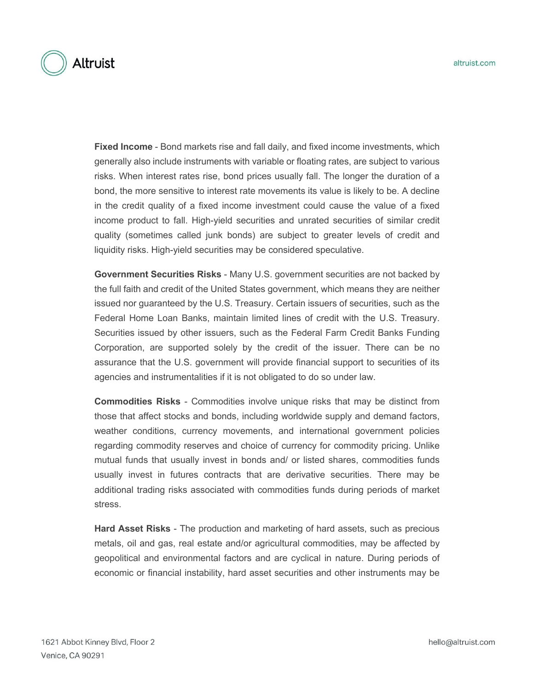

**Fixed Income** - Bond markets rise and fall daily, and fixed income investments, which generally also include instruments with variable or floating rates, are subject to various risks. When interest rates rise, bond prices usually fall. The longer the duration of a bond, the more sensitive to interest rate movements its value is likely to be. A decline in the credit quality of a fixed income investment could cause the value of a fixed income product to fall. High-yield securities and unrated securities of similar credit quality (sometimes called junk bonds) are subject to greater levels of credit and liquidity risks. High-yield securities may be considered speculative.

**Government Securities Risks** - Many U.S. government securities are not backed by the full faith and credit of the United States government, which means they are neither issued nor guaranteed by the U.S. Treasury. Certain issuers of securities, such as the Federal Home Loan Banks, maintain limited lines of credit with the U.S. Treasury. Securities issued by other issuers, such as the Federal Farm Credit Banks Funding Corporation, are supported solely by the credit of the issuer. There can be no assurance that the U.S. government will provide financial support to securities of its agencies and instrumentalities if it is not obligated to do so under law.

**Commodities Risks** - Commodities involve unique risks that may be distinct from those that affect stocks and bonds, including worldwide supply and demand factors, weather conditions, currency movements, and international government policies regarding commodity reserves and choice of currency for commodity pricing. Unlike mutual funds that usually invest in bonds and/ or listed shares, commodities funds usually invest in futures contracts that are derivative securities. There may be additional trading risks associated with commodities funds during periods of market stress.

**Hard Asset Risks** - The production and marketing of hard assets, such as precious metals, oil and gas, real estate and/or agricultural commodities, may be affected by geopolitical and environmental factors and are cyclical in nature. During periods of economic or financial instability, hard asset securities and other instruments may be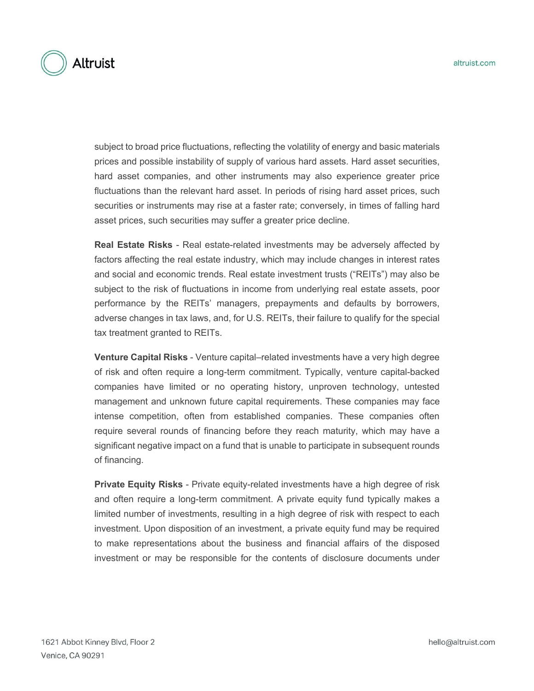

subject to broad price fluctuations, reflecting the volatility of energy and basic materials prices and possible instability of supply of various hard assets. Hard asset securities, hard asset companies, and other instruments may also experience greater price fluctuations than the relevant hard asset. In periods of rising hard asset prices, such securities or instruments may rise at a faster rate; conversely, in times of falling hard asset prices, such securities may suffer a greater price decline.

**Real Estate Risks** - Real estate-related investments may be adversely affected by factors affecting the real estate industry, which may include changes in interest rates and social and economic trends. Real estate investment trusts ("REITs") may also be subject to the risk of fluctuations in income from underlying real estate assets, poor performance by the REITs' managers, prepayments and defaults by borrowers, adverse changes in tax laws, and, for U.S. REITs, their failure to qualify for the special tax treatment granted to REITs.

**Venture Capital Risks** - Venture capital–related investments have a very high degree of risk and often require a long-term commitment. Typically, venture capital-backed companies have limited or no operating history, unproven technology, untested management and unknown future capital requirements. These companies may face intense competition, often from established companies. These companies often require several rounds of financing before they reach maturity, which may have a significant negative impact on a fund that is unable to participate in subsequent rounds of financing.

**Private Equity Risks** - Private equity-related investments have a high degree of risk and often require a long-term commitment. A private equity fund typically makes a limited number of investments, resulting in a high degree of risk with respect to each investment. Upon disposition of an investment, a private equity fund may be required to make representations about the business and financial affairs of the disposed investment or may be responsible for the contents of disclosure documents under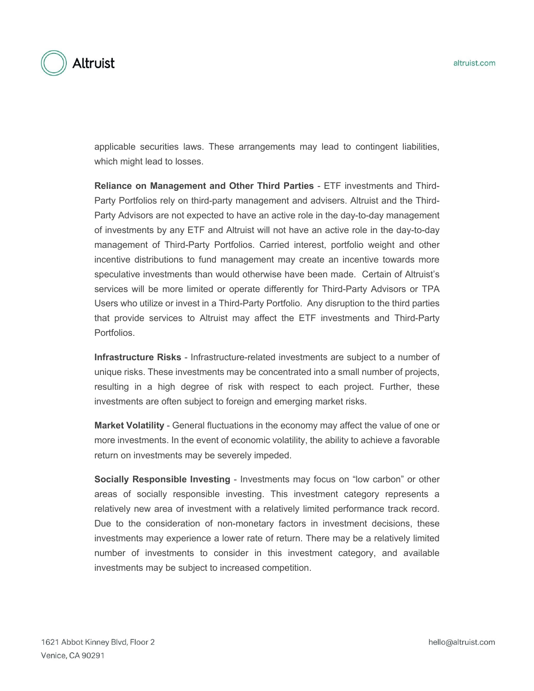

applicable securities laws. These arrangements may lead to contingent liabilities, which might lead to losses.

**Reliance on Management and Other Third Parties** - ETF investments and Third-Party Portfolios rely on third-party management and advisers. Altruist and the Third-Party Advisors are not expected to have an active role in the day-to-day management of investments by any ETF and Altruist will not have an active role in the day-to-day management of Third-Party Portfolios. Carried interest, portfolio weight and other incentive distributions to fund management may create an incentive towards more speculative investments than would otherwise have been made. Certain of Altruist's services will be more limited or operate differently for Third-Party Advisors or TPA Users who utilize or invest in a Third-Party Portfolio. Any disruption to the third parties that provide services to Altruist may affect the ETF investments and Third-Party Portfolios.

**Infrastructure Risks** - Infrastructure-related investments are subject to a number of unique risks. These investments may be concentrated into a small number of projects, resulting in a high degree of risk with respect to each project. Further, these investments are often subject to foreign and emerging market risks.

**Market Volatility** - General fluctuations in the economy may affect the value of one or more investments. In the event of economic volatility, the ability to achieve a favorable return on investments may be severely impeded.

**Socially Responsible Investing** - Investments may focus on "low carbon" or other areas of socially responsible investing. This investment category represents a relatively new area of investment with a relatively limited performance track record. Due to the consideration of non-monetary factors in investment decisions, these investments may experience a lower rate of return. There may be a relatively limited number of investments to consider in this investment category, and available investments may be subject to increased competition.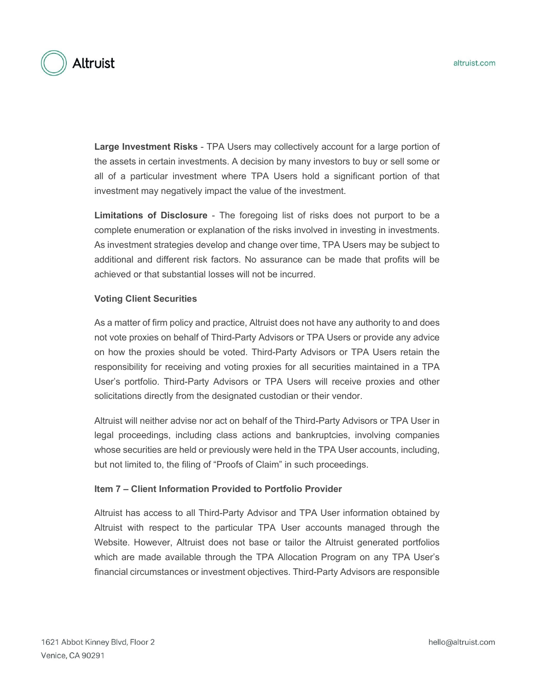

**Large Investment Risks** - TPA Users may collectively account for a large portion of the assets in certain investments. A decision by many investors to buy or sell some or all of a particular investment where TPA Users hold a significant portion of that investment may negatively impact the value of the investment.

**Limitations of Disclosure** - The foregoing list of risks does not purport to be a complete enumeration or explanation of the risks involved in investing in investments. As investment strategies develop and change over time, TPA Users may be subject to additional and different risk factors. No assurance can be made that profits will be achieved or that substantial losses will not be incurred.

#### **Voting Client Securities**

As a matter of firm policy and practice, Altruist does not have any authority to and does not vote proxies on behalf of Third-Party Advisors or TPA Users or provide any advice on how the proxies should be voted. Third-Party Advisors or TPA Users retain the responsibility for receiving and voting proxies for all securities maintained in a TPA User's portfolio. Third-Party Advisors or TPA Users will receive proxies and other solicitations directly from the designated custodian or their vendor.

Altruist will neither advise nor act on behalf of the Third-Party Advisors or TPA User in legal proceedings, including class actions and bankruptcies, involving companies whose securities are held or previously were held in the TPA User accounts, including, but not limited to, the filing of "Proofs of Claim" in such proceedings.

#### **Item 7 – Client Information Provided to Portfolio Provider**

Altruist has access to all Third-Party Advisor and TPA User information obtained by Altruist with respect to the particular TPA User accounts managed through the Website. However, Altruist does not base or tailor the Altruist generated portfolios which are made available through the TPA Allocation Program on any TPA User's financial circumstances or investment objectives. Third-Party Advisors are responsible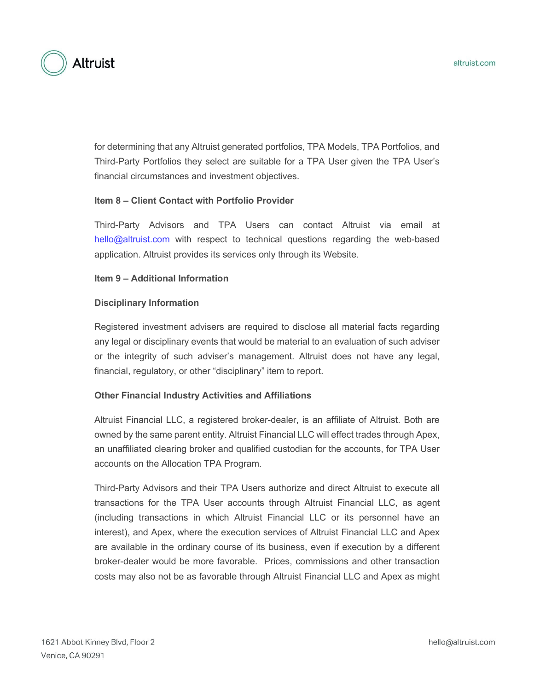

for determining that any Altruist generated portfolios, TPA Models, TPA Portfolios, and Third-Party Portfolios they select are suitable for a TPA User given the TPA User's financial circumstances and investment objectives.

## **Item 8 – Client Contact with Portfolio Provider**

Third-Party Advisors and TPA Users can contact Altruist via email at hello@altruist.com with respect to technical questions regarding the web-based application. Altruist provides its services only through its Website.

#### **Item 9 – Additional Information**

#### **Disciplinary Information**

Registered investment advisers are required to disclose all material facts regarding any legal or disciplinary events that would be material to an evaluation of such adviser or the integrity of such adviser's management. Altruist does not have any legal, financial, regulatory, or other "disciplinary" item to report.

#### **Other Financial Industry Activities and Affiliations**

Altruist Financial LLC, a registered broker-dealer, is an affiliate of Altruist. Both are owned by the same parent entity. Altruist Financial LLC will effect trades through Apex, an unaffiliated clearing broker and qualified custodian for the accounts, for TPA User accounts on the Allocation TPA Program.

Third-Party Advisors and their TPA Users authorize and direct Altruist to execute all transactions for the TPA User accounts through Altruist Financial LLC, as agent (including transactions in which Altruist Financial LLC or its personnel have an interest), and Apex, where the execution services of Altruist Financial LLC and Apex are available in the ordinary course of its business, even if execution by a different broker-dealer would be more favorable. Prices, commissions and other transaction costs may also not be as favorable through Altruist Financial LLC and Apex as might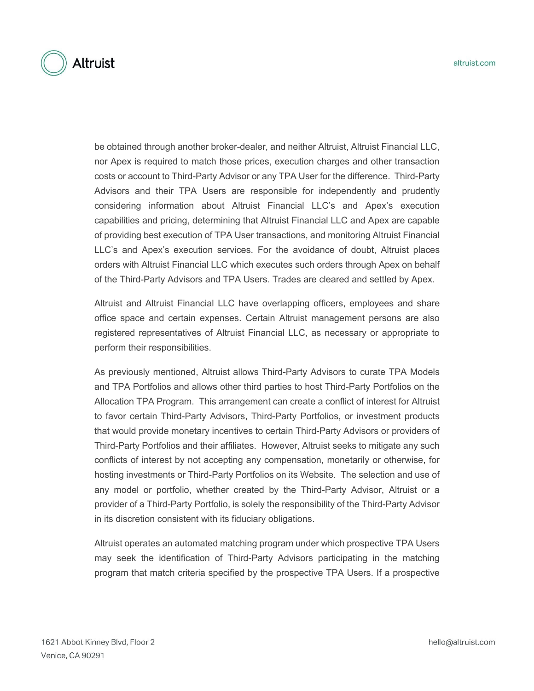

be obtained through another broker-dealer, and neither Altruist, Altruist Financial LLC, nor Apex is required to match those prices, execution charges and other transaction costs or account to Third-Party Advisor or any TPA User for the difference. Third-Party Advisors and their TPA Users are responsible for independently and prudently considering information about Altruist Financial LLC's and Apex's execution capabilities and pricing, determining that Altruist Financial LLC and Apex are capable of providing best execution of TPA User transactions, and monitoring Altruist Financial LLC's and Apex's execution services. For the avoidance of doubt, Altruist places orders with Altruist Financial LLC which executes such orders through Apex on behalf of the Third-Party Advisors and TPA Users. Trades are cleared and settled by Apex.

Altruist and Altruist Financial LLC have overlapping officers, employees and share office space and certain expenses. Certain Altruist management persons are also registered representatives of Altruist Financial LLC, as necessary or appropriate to perform their responsibilities.

As previously mentioned, Altruist allows Third-Party Advisors to curate TPA Models and TPA Portfolios and allows other third parties to host Third-Party Portfolios on the Allocation TPA Program. This arrangement can create a conflict of interest for Altruist to favor certain Third-Party Advisors, Third-Party Portfolios, or investment products that would provide monetary incentives to certain Third-Party Advisors or providers of Third-Party Portfolios and their affiliates. However, Altruist seeks to mitigate any such conflicts of interest by not accepting any compensation, monetarily or otherwise, for hosting investments or Third-Party Portfolios on its Website. The selection and use of any model or portfolio, whether created by the Third-Party Advisor, Altruist or a provider of a Third-Party Portfolio, is solely the responsibility of the Third-Party Advisor in its discretion consistent with its fiduciary obligations.

Altruist operates an automated matching program under which prospective TPA Users may seek the identification of Third-Party Advisors participating in the matching program that match criteria specified by the prospective TPA Users. If a prospective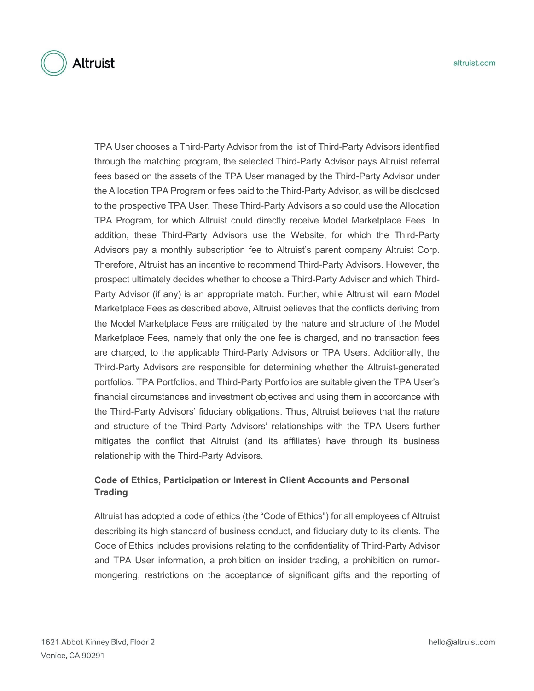

TPA User chooses a Third-Party Advisor from the list of Third-Party Advisors identified through the matching program, the selected Third-Party Advisor pays Altruist referral fees based on the assets of the TPA User managed by the Third-Party Advisor under the Allocation TPA Program or fees paid to the Third-Party Advisor, as will be disclosed to the prospective TPA User. These Third-Party Advisors also could use the Allocation TPA Program, for which Altruist could directly receive Model Marketplace Fees. In addition, these Third-Party Advisors use the Website, for which the Third-Party Advisors pay a monthly subscription fee to Altruist's parent company Altruist Corp. Therefore, Altruist has an incentive to recommend Third-Party Advisors. However, the prospect ultimately decides whether to choose a Third-Party Advisor and which Third-Party Advisor (if any) is an appropriate match. Further, while Altruist will earn Model Marketplace Fees as described above, Altruist believes that the conflicts deriving from the Model Marketplace Fees are mitigated by the nature and structure of the Model Marketplace Fees, namely that only the one fee is charged, and no transaction fees are charged, to the applicable Third-Party Advisors or TPA Users. Additionally, the Third-Party Advisors are responsible for determining whether the Altruist-generated portfolios, TPA Portfolios, and Third-Party Portfolios are suitable given the TPA User's financial circumstances and investment objectives and using them in accordance with the Third-Party Advisors' fiduciary obligations. Thus, Altruist believes that the nature and structure of the Third-Party Advisors' relationships with the TPA Users further mitigates the conflict that Altruist (and its affiliates) have through its business relationship with the Third-Party Advisors.

# **Code of Ethics, Participation or Interest in Client Accounts and Personal Trading**

Altruist has adopted a code of ethics (the "Code of Ethics") for all employees of Altruist describing its high standard of business conduct, and fiduciary duty to its clients. The Code of Ethics includes provisions relating to the confidentiality of Third-Party Advisor and TPA User information, a prohibition on insider trading, a prohibition on rumormongering, restrictions on the acceptance of significant gifts and the reporting of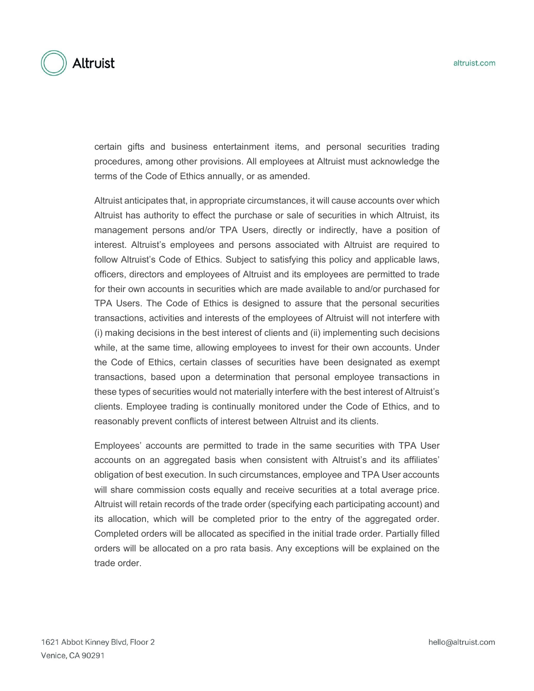

certain gifts and business entertainment items, and personal securities trading procedures, among other provisions. All employees at Altruist must acknowledge the terms of the Code of Ethics annually, or as amended.

Altruist anticipates that, in appropriate circumstances, it will cause accounts over which Altruist has authority to effect the purchase or sale of securities in which Altruist, its management persons and/or TPA Users, directly or indirectly, have a position of interest. Altruist's employees and persons associated with Altruist are required to follow Altruist's Code of Ethics. Subject to satisfying this policy and applicable laws, officers, directors and employees of Altruist and its employees are permitted to trade for their own accounts in securities which are made available to and/or purchased for TPA Users. The Code of Ethics is designed to assure that the personal securities transactions, activities and interests of the employees of Altruist will not interfere with (i) making decisions in the best interest of clients and (ii) implementing such decisions while, at the same time, allowing employees to invest for their own accounts. Under the Code of Ethics, certain classes of securities have been designated as exempt transactions, based upon a determination that personal employee transactions in these types of securities would not materially interfere with the best interest of Altruist's clients. Employee trading is continually monitored under the Code of Ethics, and to reasonably prevent conflicts of interest between Altruist and its clients.

Employees' accounts are permitted to trade in the same securities with TPA User accounts on an aggregated basis when consistent with Altruist's and its affiliates' obligation of best execution. In such circumstances, employee and TPA User accounts will share commission costs equally and receive securities at a total average price. Altruist will retain records of the trade order (specifying each participating account) and its allocation, which will be completed prior to the entry of the aggregated order. Completed orders will be allocated as specified in the initial trade order. Partially filled orders will be allocated on a pro rata basis. Any exceptions will be explained on the trade order.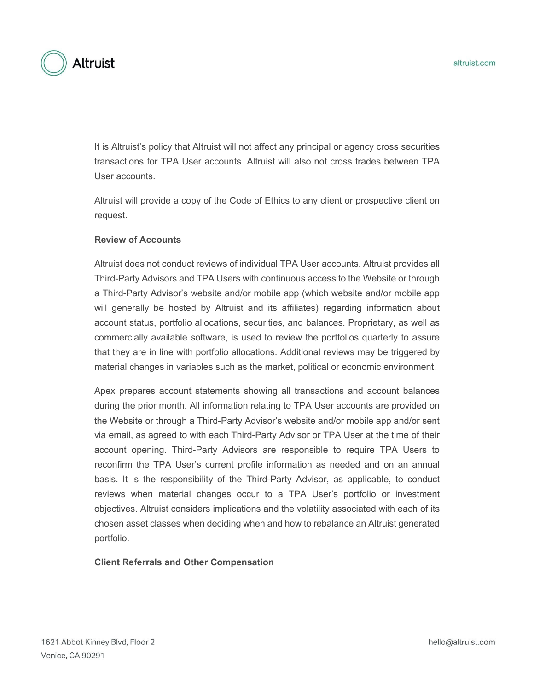

It is Altruist's policy that Altruist will not affect any principal or agency cross securities transactions for TPA User accounts. Altruist will also not cross trades between TPA User accounts.

Altruist will provide a copy of the Code of Ethics to any client or prospective client on request.

## **Review of Accounts**

Altruist does not conduct reviews of individual TPA User accounts. Altruist provides all Third-Party Advisors and TPA Users with continuous access to the Website or through a Third-Party Advisor's website and/or mobile app (which website and/or mobile app will generally be hosted by Altruist and its affiliates) regarding information about account status, portfolio allocations, securities, and balances. Proprietary, as well as commercially available software, is used to review the portfolios quarterly to assure that they are in line with portfolio allocations. Additional reviews may be triggered by material changes in variables such as the market, political or economic environment.

Apex prepares account statements showing all transactions and account balances during the prior month. All information relating to TPA User accounts are provided on the Website or through a Third-Party Advisor's website and/or mobile app and/or sent via email, as agreed to with each Third-Party Advisor or TPA User at the time of their account opening. Third-Party Advisors are responsible to require TPA Users to reconfirm the TPA User's current profile information as needed and on an annual basis. It is the responsibility of the Third-Party Advisor, as applicable, to conduct reviews when material changes occur to a TPA User's portfolio or investment objectives. Altruist considers implications and the volatility associated with each of its chosen asset classes when deciding when and how to rebalance an Altruist generated portfolio.

#### **Client Referrals and Other Compensation**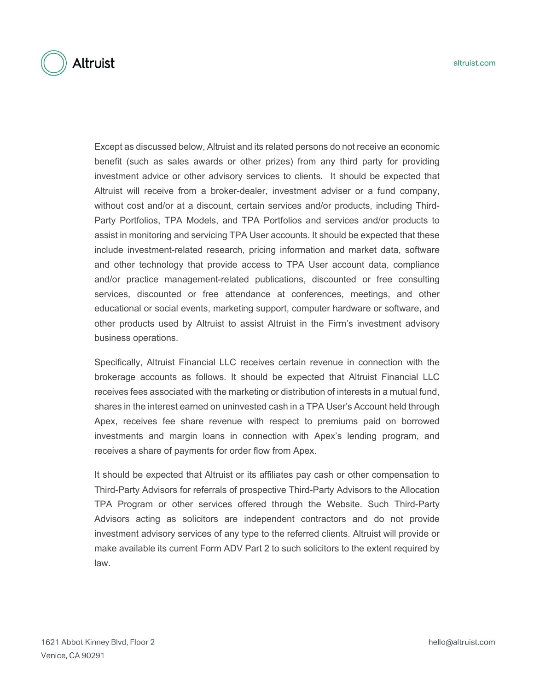

Except as discussed below, Altruist and its related persons do not receive an economic benefit (such as sales awards or other prizes) from any third party for providing investment advice or other advisory services to clients. It should be expected that Altruist will receive from a broker-dealer, investment adviser or a fund company, without cost and/or at a discount, certain services and/or products, including Third-Party Portfolios, TPA Models, and TPA Portfolios and services and/or products to assist in monitoring and servicing TPA User accounts. It should be expected that these include investment-related research, pricing information and market data, software and other technology that provide access to TPA User account data, compliance and/or practice management-related publications, discounted or free consulting services, discounted or free attendance at conferences, meetings, and other educational or social events, marketing support, computer hardware or software, and other products used by Altruist to assist Altruist in the Firm's investment advisory business operations.

Specifically, Altruist Financial LLC receives certain revenue in connection with the brokerage accounts as follows. It should be expected that Altruist Financial LLC receives fees associated with the marketing or distribution of interests in a mutual fund, shares in the interest earned on uninvested cash in a TPA User's Account held through Apex, receives fee share revenue with respect to premiums paid on borrowed investments and margin loans in connection with Apex's lending program, and receives a share of payments for order flow from Apex.

It should be expected that Altruist or its affiliates pay cash or other compensation to Third-Party Advisors for referrals of prospective Third-Party Advisors to the Allocation TPA Program or other services offered through the Website. Such Third-Party Advisors acting as solicitors are independent contractors and do not provide investment advisory services of any type to the referred clients. Altruist will provide or make available its current Form ADV Part 2 to such solicitors to the extent required by law.